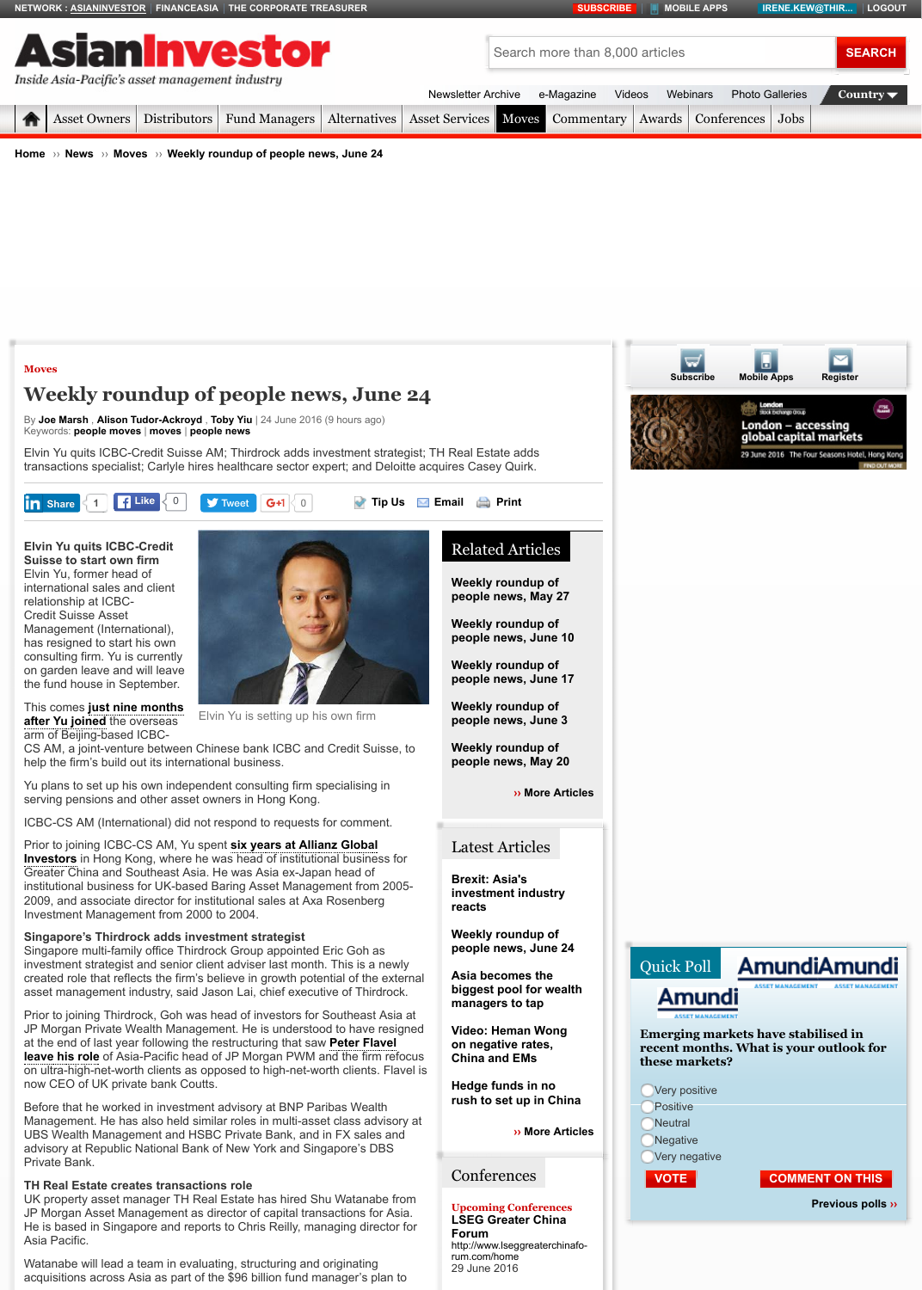**Suisse to start own fir[m](http://www.financeasia.com/)** Elvin Yu[, former head o](http://www.asianinvestor.net/)f international sales and client relationship at ICBC-Credit Suisse Asset Management (International), has resigned to start his own consulting firm. Yu is currently on garden leave and will leave [the f](http://www.asianinvestor.net/Default.aspx)[und house in Sep](http://www.asianinvestor.net/Category/208,asset-owners.aspx)[tember.](http://www.asianinvestor.net/Category/209,distributors.aspx)

This comes **just nine months [after](http://www.asianinvestor.net/) Y[u joine](http://www.asianinvestor.net/News)d** t[he ove](http://www.asianinvestor.net/News/Category/113,moves.aspx)rseas arm of Beijing-based ICBC-



[Elvin Yu is setting up his own firm](http://www.asianinvestor.net/News/427255,weekly-roundup-of-people-news-june-24.aspx?eid=14&edate=20160624&utm_source=20160624&utm_medium=newsletter&utm_campaign=peoplenews_newsletter)

CS AM, a joint-venture between Chinese bank ICBC and Credit Suisse, to help the firm's build out its international business.

Yu plans to set up his own independent consulting firm specialising in serving pensions and other asset owners in Hong Kong.

ICBC-CS AM (International) did not respond to requests for comment.

Prior to joining ICBC-CS AM, Yu spent **six years at Allianz Global Investors** in Hong Kong, where he was head of institutional business for Greater China and Southeast Asia. He was Asia ex-Japan head of institutional business for UK-based Baring Asset Management from 2005- 2009, and associate director for institutional sales at Axa Rosenberg Investment Management from 2000 to 2004.

### **[Singap](http://www.asianinvestor.net/Category/113,moves.aspx)ore's Thirdrock adds investment strategist**

Singapore multi-family office Thirdrock Group appointed Eric Goh as investment strategist and senior client adviser last month. This is a newly cr[eated role](http://www.asianinvestor.net/Author/219244,joe-marsh.aspx) t[hat reflects the firm's](http://www.asianinvestor.net/Author/648958,alison-tudor-ackroyd.aspx) [believe in](http://www.asianinvestor.net/Author/719937,toby-yiu.aspx) growth potential of the external asset ma[nagement ind](http://www.asianinvestor.net/Tag/people_moves.aspx)[ustry, s](http://www.asianinvestor.net/Tag/moves.aspx)a[id Jason Lai](http://www.asianinvestor.net/Tag/people_news.aspx), chief executive of Thirdrock.

Prior to joining Thirdrock, Goh was head of investors for Southeast Asia at JP Morgan Private Wealth Management. He is understood to have resigned at the end of last year following the restructuring that saw **Peter Flavel leave his role** of Asia-Pacific head of JP Morgan PWM and the fi[rm refo](http://www.asianinvestor.net/Info/Feedback.aspx)cus [on ultra-hig](javascript:void(0);)h-net-worth clients as [opposed to](https://twitter.com/intent/tweet?ref_src=twsrc%5Etfw&text=Weekly%20roundup%20of%20people%20news%2C%20June%2024&tw_p=tweetbutton&url=http%3A%2F%2Fwww.asianinvestor.net%2FNews%2F427255%2Cweekly-roundup-of-people-news-june-24.aspx&via=AsianInvestor) high-net-worth clients. Flavel is now CEO of UK private bank Coutts.

Before that he worked in investment advisory at BNP Paribas Wealth Management. He has also held [similar roles in multi-asset class advisory at](http://cdn.i.haymarketmedia.asia/?n=asian-investor%2fcontent%2fElvin+Yu_Fotor.jpg) UBS Wealth Management and HSBC Private Bank, and in FX sales and advisory at Republic National Bank of New York and Singapore's DBS Private Bank.

#### **TH Real Estate creates transactions role**

UK property asset manager TH Real Estate has hired Shu Watanabe from JP Morgan Asset Management as director of capital transactions for Asia. He is based in Singapore and reports to Chris Reilly, managing director for Asia Pacific.

Watanabe will lead a team in evaluating, structuring and originating [acquisitions across Asia as par](http://www.asianinvestor.net/News/402212,icbc-credit-suisse-am-licenses-sp-china-500.aspx)t of the \$96 billion fund manager's plan to **Weekly roundup of** people news, May 2

**Weekly roundup of people news, June 10**

**[Weekly roun](http://www.asianinvestor.net/Newsletter/)du[p of](http://www.asianinvestor.net/e-Magazine/) [people](http://www.asianinvestor.net/Category/119,asset-services.aspx) [news, Ju](http://www.asianinvestor.net/Category/113,moves.aspx)[ne 17](http://www.asianinvestor.net/Category/193,commentary.aspx)**

**Weekly roundup of people news, June 3**

**Weekly roundup of** people news, May 2

**›** More A

# Latest Articles

**Brexit: Asia's investment industry reacts**

**Weekly roundup of people news, June 24**

**Asia becomes the biggest pool for wear managers to tap**

**Video: Heman Wong on negative rates, [Ch](http://www.asianinvestor.net/Tools/Email.aspx?CIID=427255)ina a[nd EM](http://www.asianinvestor.net/Tools/Print.aspx?CIID=427255)s**

**Hedge funds in no** rush to set up in Ch

**›› More A** 

## **[Conferences](http://www.asianinvestor.net/News/426778,weekly-roundup-of-people-news-june-10.aspx)**

#### **Upcoming Conference LSEG Greater China Forum**

http://www.lseggreaterch rum.com/home [29 June 2016](http://www.asianinvestor.net/News/426509,weekly-roundup-of-people-news-june-3.aspx)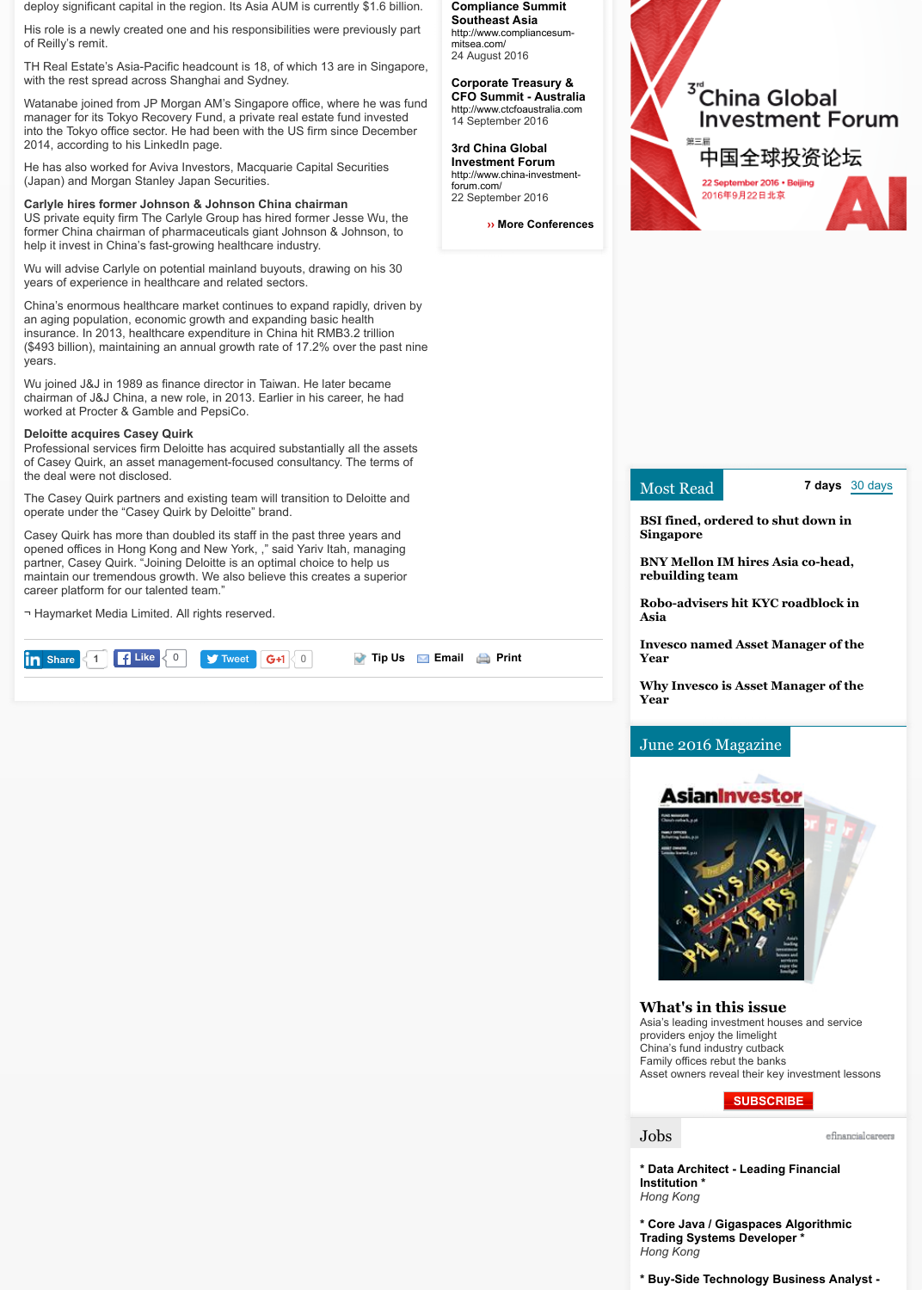partner, Casey Quirk. "Joining Deloitte is an optimal choice to help us maintain our tremendous growth. We also believe this creates a superior career platform for our talented team."

¬ Haymarket Media Limited. All rights reserved.